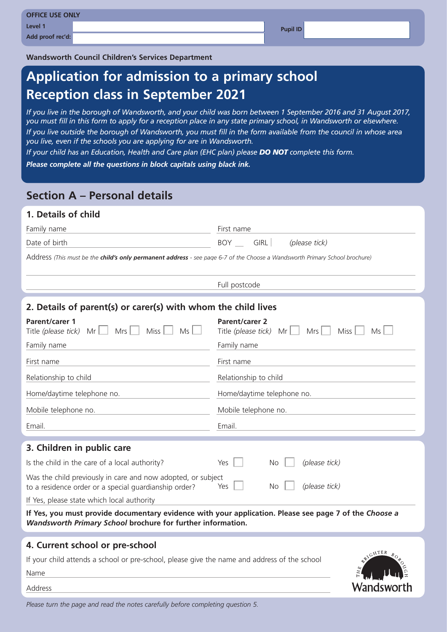| <b>OFFICE USE ONLY</b> |                 |
|------------------------|-----------------|
| Level 1                | <b>Pupil ID</b> |
| Add proof rec'd:       |                 |

**Wandsworth Council Children's Services Department**

# **Application for admission to a primary school Reception class in September 2021**

*If you live in the borough of Wandsworth, and your child was born between 1 September 2016 and 31 August 2017, you must fill in this form to apply for a reception place in any state primary school, in Wandsworth or elsewhere. If you live outside the borough of Wandsworth, you must fill in the form available from the council in whose area you live, even if the schools you are applying for are in Wandsworth.*

*If your child has an Education, Health and Care plan (EHC plan) please DO NOT complete this form.* 

*Please complete all the questions in block capitals using black ink.* 

## **Section A – Personal details**

#### **1. Details of child**

| Family name                                                                                                                                                           | First name                                                                        |  |  |  |
|-----------------------------------------------------------------------------------------------------------------------------------------------------------------------|-----------------------------------------------------------------------------------|--|--|--|
| Date of birth                                                                                                                                                         | <b>BOY</b><br><b>GIRL</b><br>(please tick)                                        |  |  |  |
| Address (This must be the child's only permanent address - see page 6-7 of the Choose a Wandsworth Primary School brochure)                                           |                                                                                   |  |  |  |
|                                                                                                                                                                       | Full postcode                                                                     |  |  |  |
| 2. Details of parent(s) or carer(s) with whom the child lives                                                                                                         |                                                                                   |  |  |  |
| <b>Parent/carer 1</b><br>$Mrs$ $\Box$<br>Miss $\Box$<br>Title (please tick)<br>Mr I<br>Ms                                                                             | <b>Parent/carer 2</b><br>Title (please tick)<br>$Mrs$    <br>Miss  <br>Ms<br>Mr I |  |  |  |
| Family name                                                                                                                                                           | Family name                                                                       |  |  |  |
| First name                                                                                                                                                            | First name                                                                        |  |  |  |
| Relationship to child                                                                                                                                                 | Relationship to child                                                             |  |  |  |
| Home/daytime telephone no.                                                                                                                                            | Home/daytime telephone no.                                                        |  |  |  |
| Mobile telephone no.                                                                                                                                                  | Mobile telephone no.                                                              |  |  |  |
| Email.                                                                                                                                                                | Email.                                                                            |  |  |  |
| 3. Children in public care                                                                                                                                            |                                                                                   |  |  |  |
| Is the child in the care of a local authority?                                                                                                                        | (please tick)<br>Yes<br>No.                                                       |  |  |  |
| Was the child previously in care and now adopted, or subject<br>(please tick)<br><b>No</b><br>Yes<br>to a residence order or a special guardianship order?            |                                                                                   |  |  |  |
| If Yes, please state which local authority                                                                                                                            |                                                                                   |  |  |  |
| If Yes, you must provide documentary evidence with your application. Please see page 7 of the Choose a<br>Wandsworth Primary School brochure for further information. |                                                                                   |  |  |  |
| 4. Current school or pre-school                                                                                                                                       |                                                                                   |  |  |  |
| WIGHTER<br><b>BORO</b><br>If your child attends a school or pre-school, please give the name and address of the school                                                |                                                                                   |  |  |  |

ΞÁ

Wandsworth

Name

Address

*Please turn the page and read the notes carefully before completing question 5.*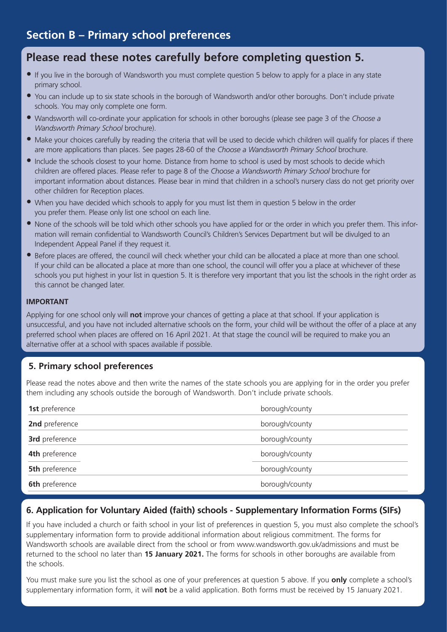# **Please read these notes carefully before completing question 5.**

- If you live in the borough of Wandsworth you must complete question 5 below to apply for a place in any state primary school.
- You can include up to six state schools in the borough of Wandsworth and/or other boroughs. Don't include private schools. You may only complete one form.
- Wandsworth will co-ordinate your application for schools in other boroughs (please see page 3 of the *Choose a Wandsworth Primary School* brochure).
- Make your choices carefully by reading the criteria that will be used to decide which children will qualify for places if there are more applications than places. See pages 28-60 of the *Choose a Wandsworth Primary School* brochure.
- Include the schools closest to your home. Distance from home to school is used by most schools to decide which children are offered places. Please refer to page 8 of the *Choose a Wandsworth Primary School* brochure for important information about distances. Please bear in mind that children in a school's nursery class do not get priority over other children for Reception places.
- When you have decided which schools to apply for you must list them in question 5 below in the order you prefer them. Please only list one school on each line.
- None of the schools will be told which other schools you have applied for or the order in which you prefer them. This information will remain confidential to Wandsworth Council's Children's Services Department but will be divulged to an Independent Appeal Panel if they request it.
- Before places are offered, the council will check whether your child can be allocated a place at more than one school. If your child can be allocated a place at more than one school, the council will offer you a place at whichever of these schools you put highest in your list in question 5. It is therefore very important that you list the schools in the right order as this cannot be changed later.

#### **IMPORTANT**

Applying for one school only will **not** improve your chances of getting a place at that school. If your application is unsuccessful, and you have not included alternative schools on the form, your child will be without the offer of a place at any preferred school when places are offered on 16 April 2021. At that stage the council will be required to make you an alternative offer at a school with spaces available if possible.

### **5. Primary school preferences**

Please read the notes above and then write the names of the state schools you are applying for in the order you prefer them including any schools outside the borough of Wandsworth. Don't include private schools.

| 1st preference        | borough/county |
|-----------------------|----------------|
| 2nd preference        | borough/county |
| 3rd preference        | borough/county |
| 4th preference        | borough/county |
| <b>5th</b> preference | borough/county |
| <b>6th</b> preference | borough/county |

### **6. Application for Voluntary Aided (faith) schools - Supplementary Information Forms (SIFs)**

If you have included a church or faith school in your list of preferences in question 5, you must also complete the school's supplementary information form to provide additional information about religious commitment. The forms for Wandsworth schools are available direct from the school or from www.wandsworth.gov.uk/admissions and must be returned to the school no later than **15 January 2021.** The forms for schools in other boroughs are available from the schools.

You must make sure you list the school as one of your preferences at question 5 above. If you **only** complete a school's supplementary information form, it will **not** be a valid application. Both forms must be received by 15 January 2021.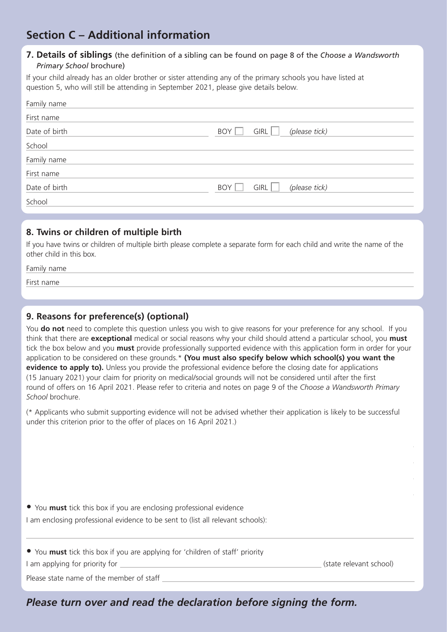# **Section C – Additional information**

#### **7. Details of siblings** (the definition of a sibling can be found on page 8 of the *Choose a Wandsworth Primary School* brochure)

If your child already has an older brother or sister attending any of the primary schools you have listed at question 5, who will still be attending in September 2021, please give details below.

| Family name   |                              |
|---------------|------------------------------|
| First name    |                              |
| Date of birth | (please tick)<br>BOY<br>GIRL |
| School        |                              |
| Family name   |                              |
| First name    |                              |
| Date of birth | BOY<br>(please tick)<br>GIRL |
| School        |                              |

### **8. Twins or children of multiple birth**

If you have twins or children of multiple birth please complete a separate form for each child and write the name of the other child in this box.

| Family name |  |  |  |
|-------------|--|--|--|
| First name  |  |  |  |
|             |  |  |  |

### **9. Reasons for preference(s) (optional)**

You **do not** need to complete this question unless you wish to give reasons for your preference for any school. If you think that there are **exceptional** medical or social reasons why your child should attend a particular school, you **must** tick the box below and you **must** provide professionally supported evidence with this application form in order for your application to be considered on these grounds.\* **(You must also specify below which school(s) you want the evidence to apply to).** Unless you provide the professional evidence before the closing date for applications (15 January 2021) your claim for priority on medical/social grounds will not be considered until after the first round of offers on 16 April 2021. Please refer to criteria and notes on page 9 of the *Choose a Wandsworth Primary School* brochure.

(\* Applicants who submit supporting evidence will not be advised whether their application is likely to be successful under this criterion prior to the offer of places on 16 April 2021.)

• You **must** tick this box if you are enclosing professional evidence I am enclosing professional evidence to be sent to (list all relevant schools):

• You **must** tick this box if you are applying for 'children of staff' priority

I am applying for priority for (state relevant school)

Please state name of the member of staff

*Please turn over and read the declaration before signing the form.*